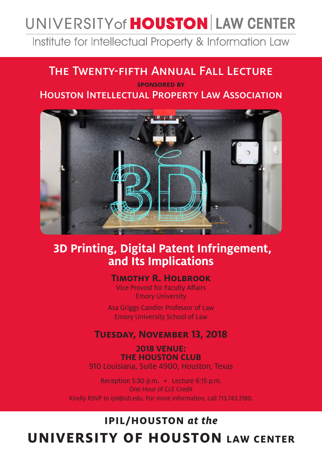# UNIVERSITY of **HOUSTON** LAW CENTER

Institute for Intellectual Property & Information Law

### The Twenty-fifth Annual Fall Lecture

### **sponsored by** Houston Intellectual Property Law Association



### **3D Printing, Digital Patent Infringement, and Its Implications**

#### **Timothy R. Holbrook**

Vice Provost for Faculty Affairs Emory University

Asa Griggs Candler Professor of Law Emory University School of Law

### **Tuesday, November 13, 2018**

**2018 VENUE: THE HOUSTON CLUB** 910 Louisiana, Suite 4900, Houston, Texas

Reception 5:30 p.m. • Lecture 6:15 p.m. One Hour of CLE Credit Kindly RSVP to ipil@uh.edu. For more information, call 713.743.2180.

## **IPIL/HOUSTON** *at the* **UNIVERSITY OF HOUSTON LAW CENTER**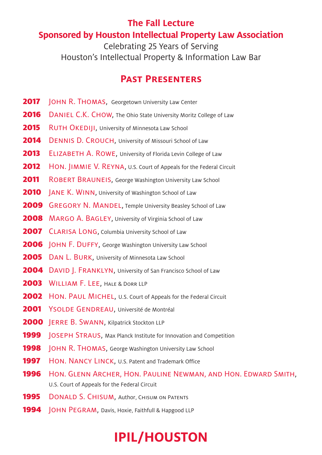### **The Fall Lecture Sponsored by Houston Intellectual Property Law Association**

Celebrating 25 Years of Serving Houston's Intellectual Property & Information Law Bar

### **Past Presenters**

- **2017 JOHN R. THOMAS, Georgetown University Law Center**
- 2016 DANIEL C.K. CHOW, The Ohio State University Moritz College of Law
- **2015** RUTH OKEDIJI, University of Minnesota Law School
- 2014 DENNIS D. CROUCH, University of Missouri School of Law
- **2013** ELIZABETH A. ROWE, University of Florida Levin College of Law
- 2012 HON. JIMMIE V. REYNA, U.S. Court of Appeals for the Federal Circuit
- **2011** ROBERT BRAUNEIS, George Washington University Law School
- **2010** | ANE K. WINN, University of Washington School of Law
- **2009** GREGORY N. MANDEL, Temple University Beasley School of Law
- **2008** MARGO A. BAGLEY, University of Virginia School of Law
- **2007** CLARISA LONG, Columbia University School of Law
- **2006** JOHN F. DUFFY, George Washington University Law School
- 2005 DAN L. BURK, University of Minnesota Law School
- **2004** DAVID J. FRANKLYN, University of San Francisco School of Law
- 2003 WILLIAM F. LEE, HALE & DORR LLP
- **2002** HON. PAUL MICHEL, U.S. Court of Appeals for the Federal Circuit
- 2001 YSOLDE GENDREAU, Université de Montréal
- 2000 **JERRE B. SWANN, Kilpatrick Stockton LLP**
- **1999 JOSEPH STRAUS, Max Planck Institute for Innovation and Competition**
- **1998 JOHN R. THOMAS, George Washington University Law School**
- **1997** HON. NANCY LINCK, U.S. Patent and Trademark Office
- 1996 Hon. GLENN ARCHER, HON. PAULINE NEWMAN, AND HON. EDWARD SMITH, U.S. Court of Appeals for the Federal Circuit
- **1995** DONALD S. CHISUM, Author, CHISUM ON PATENTS
- **1994** JOHN PEGRAM, Davis, Hoxie, Faithfull & Hapgood LLP

# **IPIL/HOUSTON**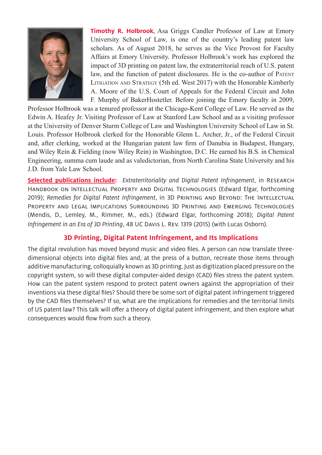

**Timothy R. Holbrook**, Asa Griggs Candler Professor of Law at Emory University School of Law, is one of the country's leading patent law scholars. As of August 2018, he serves as the Vice Provost for Faculty Affairs at Emory University. Professor Holbrook's work has explored the impact of 3D printing on patent law, the extraterritorial reach of U.S. patent law, and the function of patent disclosures. He is the co-author of Patent Litigation and Strategy (5th ed. West 2017) with the Honorable Kimberly A. Moore of the U.S. Court of Appeals for the Federal Circuit and John F. Murphy of BakerHostetler. Before joining the Emory faculty in 2009,

Professor Holbrook was a tenured professor at the Chicago-Kent College of Law. He served as the Edwin A. Heafey Jr. Visiting Professor of Law at Stanford Law School and as a visiting professor at the University of Denver Sturm College of Law and Washington University School of Law in St. Louis. Professor Holbrook clerked for the Honorable Glenn L. Archer, Jr., of the Federal Circuit and, after clerking, worked at the Hungarian patent law firm of Danubia in Budapest, Hungary, and Wiley Rein & Fielding (now Wiley Rein) in Washington, D.C. He earned his B.S. in Chemical Engineering, summa cum laude and as valedictorian, from North Carolina State University and his J.D. from Yale Law School.

**Selected publications include:** *Extraterritoriality and Digital Patent Infringement*, in Research Handbook on Intellectual Property and Digital Technologies (Edward Elgar, forthcoming 2019); *Remedies for Digital Patent Infringement*, in 3D Printing and Beyond: The Intellectual Property and Legal Implications Surrounding 3D Printing and Emerging Technologies (Mendis, D., Lemley, M., Rimmer, M., eds.) (Edward Elgar, forthcoming 2018); *Digital Patent Infringement in an Era of 3D Printing*, 48 UC Davis L. Rev. 1319 (2015) (with Lucas Osborn).

#### **3D Printing, Digital Patent Infringement, and Its Implications**

The digital revolution has moved beyond music and video files. A person can now translate threedimensional objects into digital files and, at the press of a button, recreate those items through additive manufacturing, colloquially known as 3D printing. Just as digitization placed pressure on the copyright system, so will these digital computer-aided design (CAD) files stress the patent system. How can the patent system respond to protect patent owners against the appropriation of their inventions via these digital files? Should there be some sort of digital patent infringement triggered by the CAD files themselves? If so, what are the implications for remedies and the territorial limits of US patent law? This talk will offer a theory of digital patent infringement, and then explore what consequences would flow from such a theory.